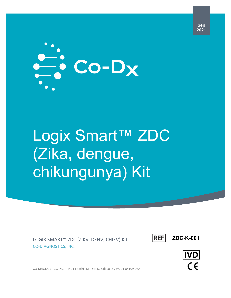

`

# Logix Smart™ ZDC (Zika, dengue, chikungunya) Kit

LOGIX SMART™ ZDC (ZIKV, DENV, CHIKV) Kit CO-DIAGNOSTICS, INC.



**ZDC-K-001**

**IVD**  $\epsilon$ 

CO-DIAGNOSTICS, INC. | 2401 Foothill Dr., Ste D, Salt Lake City, UT 84109 USA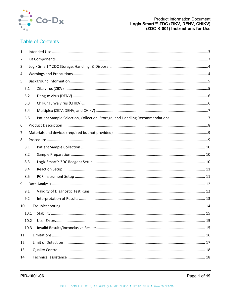

# **Table of Contents**

| $\mathbf{1}$ |                                                                              |  |
|--------------|------------------------------------------------------------------------------|--|
| 2            |                                                                              |  |
| 3            |                                                                              |  |
| 4            |                                                                              |  |
| 5            |                                                                              |  |
| 5.1          |                                                                              |  |
| 5.2          |                                                                              |  |
| 5.3          |                                                                              |  |
| 5.4          |                                                                              |  |
| 5.5          | Patient Sample Selection, Collection, Storage, and Handling Recommendations7 |  |
| 6            |                                                                              |  |
| 7            |                                                                              |  |
| 8            |                                                                              |  |
| 8.1          |                                                                              |  |
| 8.2          |                                                                              |  |
| 8.3          |                                                                              |  |
| 8.4          |                                                                              |  |
| 8.5          |                                                                              |  |
| 9            |                                                                              |  |
| 9.1          |                                                                              |  |
| 9.2          |                                                                              |  |
| 10           |                                                                              |  |
| 10.1         |                                                                              |  |
| 10.2         |                                                                              |  |
| 10.3         |                                                                              |  |
| 11           |                                                                              |  |
| 12           |                                                                              |  |
| 13           |                                                                              |  |
| 14           |                                                                              |  |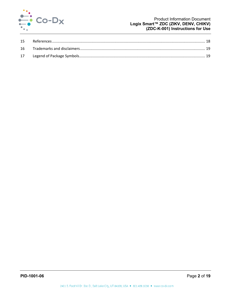

#### **Product Information Document** Logix Smart™ ZDC (ZIKV, DENV, CHIKV) (ZDC-K-001) Instructions for Use

| 16 |  |
|----|--|
|    |  |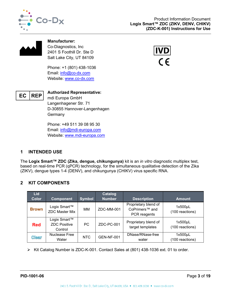



**Manufacturer:** Co-Diagnostics, Inc 2401 S Foothill Dr. Ste D Salt Lake City, UT 84109

Phone: +1 (801) 438-1036 Email: [info@co-dx.com](mailto:info@co-dx.com) Website: [www.co-dx.com](http://www.co-dx.com/)





**Authorized Representative:** mdi Europa GmbH Langenhagener Str. 71 D-30855 Hannover-Langenhagen **Germany** 

Phone: +49 511 39 08 95 30 Email: [info@mdi-europa.com](mailto:info@mdi-europa.com) Website: [www.mdi-europa.com](http://www.mdi-europa.com/)

# <span id="page-3-0"></span>**1 INTENDED USE**

The **Logix Smart™ ZDC (Zika, dengue, chikungunya)** kit is an *in vitro* diagnostic multiplex test, based on real-time PCR (qPCR) technology, for the simultaneous qualitative detection of the Zika (ZIKV), dengue types 1-4 (DENV), and chikungunya (CHIKV) virus specific RNA.

# <span id="page-3-1"></span>**2 KIT COMPONENTS**

| <b>Lid</b>   |                                                |               | <b>Catalog</b>    |                                                                    |                                 |
|--------------|------------------------------------------------|---------------|-------------------|--------------------------------------------------------------------|---------------------------------|
| <b>Color</b> | <b>Component</b>                               | <b>Symbol</b> | <b>Number</b>     | <b>Description</b>                                                 | <b>Amount</b>                   |
| <b>Brown</b> | Logix Smart™<br><b>ZDC Master Mix</b>          | MМ            | ZDC-MM-001        | Proprietary blend of<br>CoPrimers <sup>™</sup> and<br>PCR reagents | 1x500µL<br>(100 reactions)      |
| <b>Red</b>   | Logix Smart™<br><b>ZDC Positive</b><br>Control | <b>PC</b>     | ZDC-PC-001        | Proprietary blend of<br>target templates                           | $1x500\mu L$<br>(100 reactions) |
| <b>Clear</b> | Nuclease Free<br>Water                         | <b>NTC</b>    | <b>GEN-NF-001</b> | DNase/RNase-free<br>water                                          | 1x500µL<br>(100 reactions)      |

Kit Catalog Number is ZDC-K-001. Contact Sales at (801) 438-1036 ext. 01 to order.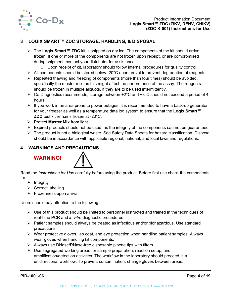

# <span id="page-4-0"></span>**3 LOGIX SMART™ ZDC STORAGE, HANDLING, & DISPOSAL**

- The **Logix Smart™ ZDC** kit is shipped on dry ice. The components of the kit should arrive frozen. If one or more of the components are not frozen upon receipt, or are compromised during shipment, contact your distributor for assistance.
	- $\circ$  Upon receipt of kit, laboratory should follow internal procedures for quality control.
- $\triangleright$  All components should be stored below -20 $^{\circ}$ C upon arrival to prevent degradation of reagents.
- $\triangleright$  Repeated thawing and freezing of components (more than four times) should be avoided, specifically the master mix, as this might affect the performance of the assay. The reagents should be frozen in multiple aliquots, if they are to be used intermittently.
- $\triangleright$  Co-Diagnostics recommends, storage between +2°C and +8°C should not exceed a period of 4 hours.
- $\triangleright$  If you work in an area prone to power outages, it is recommended to have a back-up generator for your freezer as well as a temperature data log system to ensure that the **Logix Smart™ ZDC** test kit remains frozen at -20°C.
- Protect **Master Mix** from light.
- $\triangleright$  Expired products should not be used, as the integrity of the components can not be quaranteed.
- $\triangleright$  The product is not a biological waste. See Safety Data Sheets for hazard classification. Disposal should be in accordance with applicable regional, national, and local laws and regulations.

# <span id="page-4-1"></span>**4 WARNINGS AND PRECAUTIONS**

# **WARNING!**



Read the *Instructions for Use* carefully before using the product. Before first use check the components for:

- $\triangleright$  Integrity
- $\triangleright$  Correct labelling
- $\triangleright$  Frozenness upon arrival

Users should pay attention to the following:

- $\triangleright$  Use of this product should be limited to personnel instructed and trained in the techniques of real-time PCR and *in vitro* diagnostic procedures.
- $\triangleright$  Patient samples should always be treated as infectious and/or biohazardous. Use standard precautions.
- $\triangleright$  Wear protective gloves, lab coat, and eye protection when handling patient samples. Always wear gloves when handling kit components.
- $\triangleright$  Always use DNase/RNase-free disposable pipette tips with filters.
- $\triangleright$  Use segregated working areas for sample preparation, reaction setup, and amplification/detection activities. The workflow in the laboratory should proceed in a unidirectional workflow. To prevent contamination, change gloves between areas.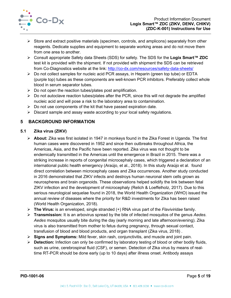

- $\triangleright$  Store and extract positive materials (specimen, controls, and amplicons) separately from other reagents. Dedicate supplies and equipment to separate working areas and do not move them from one area to another.
- Consult appropriate Safety data Sheets (SDS) for safety. The SDS for the **Logix Smart™ ZDC**  test kit is provided with the shipment. If not provided with shipment the SDS can be retrieved from Co-Diagnostics website at the link:<http://co-dx.com/resources/safety-data-sheets/>
- Do not collect samples for nucleic acid PCR assays, in Heparin (green top tube) or EDTA (purple top) tubes as these components are well-known PCR inhibitors. Preferably collect whole blood in serum separator tubes.
- $\triangleright$  Do not open the reaction tubes/plates post amplification.
- $\triangleright$  Do not autoclave reaction tubes/plates after the PCR, since this will not degrade the amplified nucleic acid and will pose a risk to the laboratory area to contamination.
- $\triangleright$  Do not use components of the kit that have passed expiration date.
- $\triangleright$  Discard sample and assay waste according to your local safety regulations.

# <span id="page-5-0"></span>**5 BACKGROUND INFORMATION**

## <span id="page-5-1"></span>**5.1 Zika virus (ZIKV)**

- **About:** Zika was first isolated in 1947 in monkeys found in the Zika Forest in Uganda. The first human cases were discovered in 1952 and since then outbreaks throughout Africa, the Americas, Asia, and the Pacific have been reported. Zika virus was not thought to be endemically transmitted in the Americas until the emergence in Brazil in 2015. There was a striking increase in reports of congenital microcephaly cases, which triggered a declaration of an international public health emergency (Araújo, et al., 2018). In this study Araújo et al. found direct correlation between microcephaly cases and Zika occurrences. Another study conducted in 2016 demonstrated that ZIKV infects and destroys human neuronal stem cells grown as neurospheres and brain organoids. These observations helped solidify the link between fetal ZIKV infection and the development of microcephaly (Relich & Loeffelholz, 2017). Due to this serious neurological sequelae found in 2018, the World Health Organization (WHO) issued the annual review of diseases where the priority for R&D investments for Zika has been raised (World Health Organization, 2018).
- **The Virus:** is an enveloped, single stranded (+) RNA virus part of the *Flaviviridae* family.
- **Transmission:** It is an arbovirus spread by the bite of infected mosquitos of the genus *Aedes*. *Aedes* mosquitos usually bite during the day (early morning and late afternoon/evening). Zika virus is also transmitted from mother to fetus during pregnancy, through sexual contact, transfusion of blood and blood products, and organ transplant (Zika virus, 2018) .
- **Signs and Symptoms:** Mild fever, skin rash, conjunctivitis, and muscle and joint pain.
- **Detection:** Infection can only be confirmed by laboratory testing of blood or other bodily fluids, such as urine, cerebrospinal fluid (CSF), or semen. Detection of Zika virus by means of realtime RT-PCR should be done early (up to 10 days) after illness onset. Antibody assays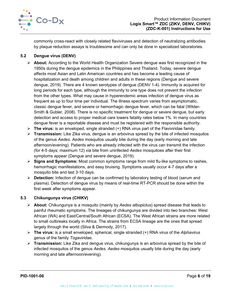

commonly cross-react with closely related flaviviruses and detection of neutralizing antibodies by plaque reduction assays is troublesome and can only be done in specialized laboratories.

## <span id="page-6-0"></span>**5.2 Dengue virus (DENV)**

- **About:** According to the World Health Organization Severe dengue was first recognized in the 1950s during the dengue epidemics in the Philippines and Thailand. Today, severe dengue affects most Asian and Latin American countries and has become a leading cause of hospitalization and death among children and adults in these regions (Dengue and severe dengue, 2019). There are 4 known serotypes of dengue (DENV 1-4). Immunity is acquired for long periods for each type, although the immunity to one type does not prevent the infection from the other types. What may cause in hyperendemic areas infection of dengue virus as frequent as up to four time per individual. The illness spectrum varies from asymptomatic, classic dengue fever, and severe or hemorrhagic dengue fever, which can be fatal (Wilder-Smith & Gubler, 2008). There is no specific treatment for dengue or severe dengue, but early detection and access to proper medical care lowers fatality rates below 1%. In many countries dengue fever is a reportable disease and must be registered with the responsible authority.
- **The virus:** is an enveloped, single stranded (+) RNA virus part of the Flaviviridae family.
- **Transmission:** Like Zika virus, dengue is an arbovirus spread by the bite of infected mosquitos of the genus *Aedes*. *Aedes* mosquitos usually bite during the day (early morning and late afternoon/evening). Patients who are already infected with the virus can transmit the infection (for 4-5 days; maximum 12) via bite from uninfected *Aedes* mosquitoes after their first symptoms appear (Dengue and severe dengue, 2019).
- **Signs and Symptoms:** Most common symptoms range from mild flu-like symptoms to rashes, hemorrhagic manifestations, and easy bruising. Symptoms usually occur 4-7 days after a mosquito bite and last 3-10 days.
- **Detection:** Infection of dengue can be confirmed by laboratory testing of blood (serum and plasma). Detection of dengue virus by means of real-time RT-PCR should be done within the first week after symptoms appear.

## <span id="page-6-1"></span>**5.3 Chikungunya virus (CHIKV)**

- **About:** Chikungunya is a mosquito (mainly by *Aedes albopictus*) spread disease that leads to painful rheumatic symptoms. The lineages of chikungunya are divided into two branches: West African (WA) and East/Central/South African (ECSA). The West African strains are more related to small outbreaks locally in Africa. The strains from ECSA lineage are the ones that spread largely through the world (Silva & Dermody, 2017).
- **The virus:** is a small enveloped, spherical, single stranded (+) RNA virus of the *Alphavirus*  genus of the family *Togaviridae*.
- **Transmission:** Like Zika and dengue virus, chikungunya is an arbovirus spread by the bite of infected mosquitos of the genus *Aedes*. *Aedes* mosquitos usually bite during the day (early morning and late afternoon/evening).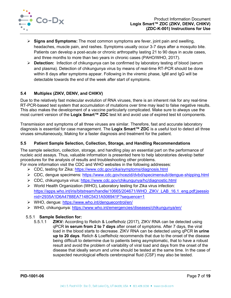

- **Signs and Symptoms:** The most common symptoms are fever, joint pain and swelling, headaches, muscle pain, and rashes. Symptoms usually occur 3-7 days after a mosquito bite. Patients can develop a post-acute or chronic arthropathy lasting 21 to 90 days in acute cases, and three months to more than two years in chronic cases (PAHO/WHO, 2017).
- **Detection:** Infection of chikungunya can be confirmed by laboratory testing of blood (serum and plasma). Detection of chikungunya virus by means of real-time RT-PCR should be done within 8 days after symptoms appear. Following in the viremic phase, IgM and IgG will be detectable towards the end of the week after start of symptoms.

## <span id="page-7-0"></span>**5.4 Multiplex (ZIKV, DENV, and CHIKV)**

Due to the relatively fast molecular evolution of RNA viruses, there is an inherent risk for any real-time RT-PCR-based test system that accumulation of mutations over time may lead to false negative results. This also makes the development of a vaccine particularly complicated. Make sure to always use the most current version of the **Logix Smart™ ZDC** test kit and avoid use of expired test kit components.

Transmission and symptoms of all three viruses are similar. Therefore, fast and accurate laboratory diagnosis is essential for case management. The **Logix Smart™ ZDC** is a useful tool to detect all three viruses simultaneously, Making for a faster diagnosis and treatment for the patient.

#### <span id="page-7-1"></span>**5.5 Patient Sample Selection, Collection, Storage, and Handling Recommendations**

The sample selection, collection, storage, and handling play an essential part on the performance of nucleic acid assays. Thus, valuable information is presented here to help laboratories develop better procedures for the analysis of results and troubleshooting other problems.

For more information visit the CDC and WHO websites in the following addresses:

- CDC, testing for Zika: <https://www.cdc.gov/zika/symptoms/diagnosis.html>
- CDC, dengue specimens: <https://www.cdc.gov/ncezid/dvbd/specimensub/dengue-shipping.html>
- CDC, chikungunya virus:<https://www.cdc.gov/chikungunya/hc/diagnostic.html>
- World Health Organization (WHO), Laboratory testing for Zika virus infection: [https://apps.who.int/iris/bitstream/handle/10665/204671/WHO\\_ZIKV\\_LAB\\_16.1\\_eng.pdf;jsessio](https://apps.who.int/iris/bitstream/handle/10665/204671/WHO_ZIKV_LAB_16.1_eng.pdf;jsessionid=2935A1D6A4788EA7148C5431A506941F?sequence=1) [nid=2935A1D6A4788EA7148C5431A506941F?sequence=1](https://apps.who.int/iris/bitstream/handle/10665/204671/WHO_ZIKV_LAB_16.1_eng.pdf;jsessionid=2935A1D6A4788EA7148C5431A506941F?sequence=1)
- WHO, dengue:<https://www.who.int/denguecontrol/en/>
- WHO, chikungunya:<https://www.who.int/emergencies/diseases/chikungunya/en/>

#### 5.5.1 **Sample Selection for:**

5.5.1.1 **ZIKV:** According to Relich & Loeffelholz (2017), ZIKV RNA can be detected using qPCR **in serum from 2 to 7 days** after onset of symptoms. After 7 days, the viral load in the blood starts to decrease. ZIKV RNA can be detected using qPCR **in urine up to 20 days**. Relich & Loeffelholz recommends that due to the onset of the disease being difficult to determine due to patients being asymptomatic, that to have a robust result and avoid the problem of variability of viral load and days from the onset of the disease that ideally serum and urine should be tested at the same time. In the case of suspected neurological effects cerebrospinal fluid (CSF) may also be tested.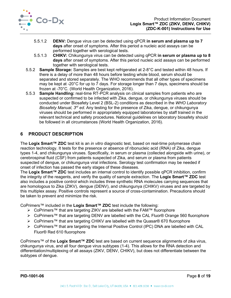

- 5.5.1.2 **DENV:** Dengue virus can be detected using qPCR **in serum and plasma up to 7 days** after onset of symptoms. After this period a nucleic acid assays can be performed together with serological tests.
- 5.5.1.3 **CHIKV:** Chikungunya virus can be detected using qPCR **in serum or plasma up to 8 days** after onset of symptoms. After this period nucleic acid assays can be performed together with serological tests.
- 5.5.2 **Sample Storage:** Samples are best kept refrigerated at 2-8°C and tested within 48 hours. If there is a delay of more than 48 hours before testing whole blood, serum should be separated and stored separately. The WHO recommends that all other types of specimens may be kept at -20°C for up to 7 days. For storage longer than 7 days, specimens should be frozen at -70°C. (World Health Organization, 2016).
- 5.5.3 **Sample Handling:** real-time RT-PCR analysis on clinical samples from patients who are suspected or confirmed to be infected with Zika, dengue, or chikungunya viruses should be conducted under Biosafety Level 2 (BSL-2) conditions as described in the *WHO Laboratory Biosafety Manual, 3rd ed*. Any testing for the presence of Zika, dengue, or chikungunya viruses should be performed in appropriately equipped laboratories by staff trained in the relevant technical and safety procedures. National guidelines on laboratory biosafety should be followed in all circumstances (World Health Organization, 2016).

# <span id="page-8-0"></span>**6 PRODUCT DESCRIPTION**

The **Logix Smart™ ZDC** test kit is an *in vitro* diagnostic test, based on real-time polymerase chain reaction technology. It tests for the presence or absence of ribonucleic acid (RNA) of Zika, dengue types 1-4, and chikungunya viruses. Specifically, in serum or plasma (collected alongside with urine), or cerebrospinal fluid (CSF) from patients suspected of Zika, and serum or plasma from patients suspected of dengue, or chikungunya viral infections. Serology test confirmation may be needed if onset of infection has passed the early stages of these diseases.

The **Logix Smart™ ZDC** test includes an internal control to identify possible qPCR inhibition, confirm the integrity of the reagents, and verify the quality of sample extraction. The **Logix Smart™ ZDC** test also includes a positive control which includes three synthetic RNA molecules carrying sequences that are homologous to Zika (ZIKV), dengue (DENV), and chikungunya (CHIKV) viruses and are targeted by this multiplex assay. Positive controls represent a source of cross-contamination. Precautions should be taken to prevent and minimize the risk.

CoPrimers™ included in the **Logix Smart™ ZDC** test include the following:

- > CoPrimers™ that are targeting ZIKV are labelled with the FAM™ fluorophore
- CoPrimers™ that are targeting DENV are labelled with the CAL Fluor® Orange 560 fluorophore
- CoPrimers™ that are targeting CHIKV are labelled with the Quasar® 670 fluorophore
- CoPrimers™ that are targeting the Internal Positive Control (IPC) DNA are labelled with CAL Fluor® Red 610 fluorophore

CoPrimers™ of the **Logix Smart™ ZDC** test are based on current sequence alignments of zika virus, chikungunya virus, and all four dengue virus subtypes (1-4). This allows for the RNA detection and differentiation/multiplexing of all assays (ZIKV, DENV, CHIKV), but does not differentiate between the subtypes of dengue.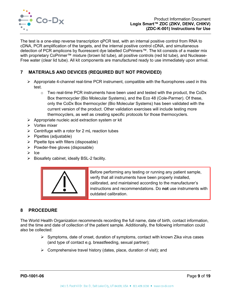

The test is a one-step reverse transcription qPCR test, with an internal positive control from RNA to cDNA, PCR amplification of the targets, and the internal positive control cDNA, and simultaneous detection of PCR amplicons by fluorescent dye labelled CoPrimers™. The kit consists of a master mix with proprietary CoPrimer™ mixture (brown lid tube), all positive controls (red lid tube), and Nuclease-Free water (clear lid tube). All kit components are manufactured ready to use immediately upon arrival.

# <span id="page-9-0"></span>**7 MATERIALS AND DEVICES (REQUIRED BUT NOT PROVIDED)**

- $\triangleright$  Appropriate 4-channel real-time PCR instrument, compatible with the fluorophores used in this test.
	- $\circ$  Two real-time PCR instruments have been used and tested with the product, the CoDx Box thermocycler (Bio Molecular Systems), and the Eco 48 (Cole-Parmer). Of these, only the CoDx Box thermocycler (Bio Molecular Systems) has been validated with the current version of the product. Other validation exercises will include testing more thermocyclers, as well as creating specific protocols for those thermocyclers.
- $\triangleright$  Appropriate nucleic acid extraction system or kit
- $\triangleright$  Vortex mixer
- $\triangleright$  Centrifuge with a rotor for 2 mL reaction tubes
- $\triangleright$  Pipettes (adjustable)
- $\triangleright$  Pipette tips with filters (disposable)
- $\triangleright$  Powder-free gloves (disposable)
- $\triangleright$  Ice
- $\triangleright$  Biosafety cabinet, ideally BSL-2 facility.



Before performing any testing or running any patient sample, verify that all instruments have been properly installed, calibrated, and maintained according to the manufacturer's instructions and recommendations. Do **not** use instruments with outdated calibration.

# <span id="page-9-1"></span>**8 PROCEDURE**

The World Health Organization recommends recording the full name, date of birth, contact information, and the time and date of collection of the patient sample. Additionally, the following information could also be collected:

- $\triangleright$  Symptoms, date of onset, duration of symptoms, contact with known Zika virus cases (and type of contact e.g. breastfeeding, sexual partner);
- $\triangleright$  Comprehensive travel history (dates, place, duration of visit); and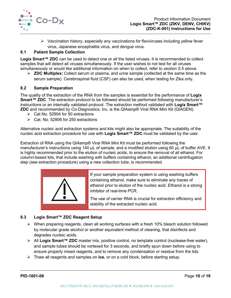

 $\triangleright$  Vaccination history, especially any vaccinations for flaviviruses including yellow fever virus, Japanese encephalitis virus, and dengue virus.

## <span id="page-10-0"></span>**8.1 Patient Sample Collection**

**Logix Smart™ ZDC** can be used to detect one or all the listed viruses. It is recommended to collect samples that will detect all viruses simultaneously. If the user wishes to not test for all viruses simultaneously or would like additional information on when to collect, refer to *section [5.5 above](#page-7-1)*.

 **ZDC Multiplex:** Collect serum or plasma, and urine sample (collected at the same time as the serum sample). Cerebrospinal fluid (CSF) can also be used, when testing for Zika only.

#### <span id="page-10-1"></span>**8.2 Sample Preparation**

The quality of the extraction of the RNA from the samples is essential for the performance of **Logix Smart™ ZDC**. The extraction protocol to be followed should be performed following manufacturer's instructions or an internally validated protocol. The extraction method validated with **Logix Smart™ ZDC** and recommended by Co-Diagnostics, Inc. is the QIAamp® Viral RNA Mini Kit (QIAGEN).

- $\triangleright$  Cat No. 52904 for 50 extractions
- $\triangleright$  Cat. No. 52906 for 250 extractions

Alternative nucleic acid extraction systems and kits might also be appropriate. The suitability of the nucleic acid extraction procedure for use with **Logix Smart™ ZDC** must be validated by the user.

Extraction of RNA using the QIAamp® Viral RNA Mini Kit must be performed following the manufacturer's instructions using 140 µL of sample, and a modified elution using 60 µL of buffer AVE. It is highly recommended prior to the elution of nucleic acids, to ensure the removal of all ethanol. For column-based kits, that include washing with buffers containing ethanol, an additional centrifugation step (see extraction procedure) using a new collection tube, is recommended.



If your sample preparation system is using washing buffers containing ethanol, make sure to eliminate any traces of ethanol prior to elution of the nucleic acid. Ethanol is a strong inhibitor of real-time PCR.

The use of carrier RNA is crucial for extraction efficiency and stability of the extracted nucleic acid.

#### <span id="page-10-2"></span>**8.3 Logix Smart™ ZDC Reagent Setup**

- $\triangleright$  When preparing reagents, clean all working surfaces with a fresh 10% bleach solution followed by molecular grade alcohol or another equivalent method of cleaning, that disinfects and degrades nucleic acids.
- All **Logix Smart™ ZDC** master mix, positive control, no template control (nuclease-free water), and sample tubes should be vortexed for 3 seconds, and briefly spun down before using to ensure properly mixed reagents, and to remove any condensation or residue from the lids.
- Thaw all reagents and samples on **ice**, or on a cold block, before starting setup.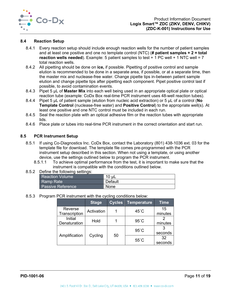

#### <span id="page-11-0"></span>**8.4 Reaction Setup**

- 8.4.1 Every reaction setup should include enough reaction wells for the number of patient samples and at least one positive and one no template control (NTC) (**# patient samples + 2 = total reaction wells needed**). Example: 5 patient samples to test + 1 PC well + 1 NTC well = 7 total reaction wells.
- 8.4.2 All pipetting should be done on **ice,** if possible. Pipetting of positive control and sample elution is recommended to be done in a separate area, if possible, or at a separate time, then the master mix and nuclease-free water. Change pipette tips in-between patient sample elution and change pipette tips after pipetting each component. Pipet positive control last if possible, to avoid contamination events.
- 8.4.3 Pipet 5 µL of **Master Mix** into each well being used in an appropriate optical plate or optical reaction tube (example: CoDx Box real-time PCR instrument uses 48-well reaction tubes).
- 8.4.4 Pipet 5 µL of patient sample (elution from nucleic acid extraction) or 5 µL of a control (**No Template Control** (nuclease-free water) and **Positive Control**) to the appropriate well(s). At least one positive and one NTC control must be included in each run.
- 8.4.5 Seal the reaction plate with an optical adhesive film or the reaction tubes with appropriate lids.
- 8.4.6 Place plate or tubes into real-time PCR instrument in the correct orientation and start run.

#### <span id="page-11-1"></span>**8.5 PCR Instrument Setup**

- 8.5.1 If using Co-Diagnostics Inc. CoDx Box, contact the Laboratory (801) 438-1036 ext. 03 for the template file for download. The template file comes pre-programmed with the PCR instrument setup described in this section. When not using a template, or using another device, use the settings outlined below to program the PCR instrument.
	- 8.5.1.1 To achieve optimal performance from the test, it is important to make sure that the instrument is compatible with the conditions outlined below.
- 8.5.2 Define the following settings:

| Reaction Volume   | $10 \mu L$ |
|-------------------|------------|
| Ramp Rate         | Default    |
| Passive Reference | None       |

#### 8.5.3 Program PCR instrument with the cycling conditions below:

|                          | <b>Stage</b> | <b>Cycles</b> | <b>Temperature</b> | <b>Time</b>   |
|--------------------------|--------------|---------------|--------------------|---------------|
| Reverse<br>Transcription | Activation   |               | $45^{\circ}$ C     | 15<br>minutes |
| Initial<br>Denaturation  | Hold         |               | $95^{\circ}$ C     | minutes       |
|                          |              |               | $95^{\circ}$ C     | seconds       |
| Amplification            | Cycling      | 50            | $55^{\circ}$ C     | 32<br>seconds |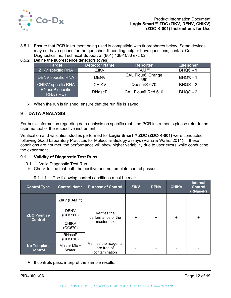

- 8.5.1 Ensure that PCR instrument being used is compatible with fluorophores below. Some devices may not have options for the quencher. If needing help or have questions, contact Co-Diagnostics Inc. Technical Support at (801) 438-1036 ext. 02.
- 8.5.2 Define the fluorescence detectors (dyes):

| ∣Target <sup>∣</sup>         | <b>Detector Name</b> | <b>Reporter</b>                 | Quencher             |
|------------------------------|----------------------|---------------------------------|----------------------|
| <b>ZIKV</b> specific RNA     | <b>ZIKV</b>          | <b>FAM™</b>                     | BHQ <sup>®</sup> - 1 |
| <b>DENV</b> specific RNA     | <b>DENV</b>          | <b>CAL Flour® Orange</b><br>560 | BHQ <sup>®</sup> - 1 |
| <b>CHIKV specific RNA</b>    | <b>CHIKV</b>         | Quasar <sup>®</sup> 670         | $BHQ@ - 2$           |
| RNaseP specific<br>RNA (IPC) | <b>RNaseP</b>        | CAL Flour® Red 610              | $BHQ@ - 2$           |

 $\triangleright$  When the run is finished, ensure that the run file is saved.

# <span id="page-12-0"></span>**9 DATA ANALYSIS**

For basic information regarding data analysis on specific real-time PCR instruments please refer to the user manual of the respective instrument.

Verification and validation studies performed for **Logix Smart™ ZDC (ZDC-K-001)** were conducted following Good Laboratory Practices for Molecular Biology assays (Viana & Wallis, 2011). If these conditions are not met, the performance will show higher variability due to user errors while conducting the experiment.

## <span id="page-12-1"></span>**9.1 Validity of Diagnostic Test Runs**

- 9.1.1 Valid Diagnostic Test Run
- $\triangleright$  Check to see that both the positive and no template control passed.

| 9.1.1.1<br>The following control conditions must be met: |                           |                                                       |             |             |              |                       |
|----------------------------------------------------------|---------------------------|-------------------------------------------------------|-------------|-------------|--------------|-----------------------|
| <b>Control Type</b>                                      | <b>Control Name</b>       | <b>Purpose of Control</b>                             | <b>ZIKV</b> | <b>DENV</b> | <b>CHIKV</b> | Inter<br>Con<br>(RNas |
|                                                          | ZIKV (FAM™)               |                                                       | $\ddot{}$   | $\ddot{}$   | $\ddot{}$    | +                     |
| <b>ZDC Positive</b>                                      | <b>DENV</b><br>(CF®560)   | Verifies the<br>performance of the                    |             |             |              |                       |
| <b>Control</b>                                           | <b>CHIKV</b><br>(Q@670)   | master mix                                            |             |             |              |                       |
|                                                          | <b>RNaseP</b><br>(CF®610) |                                                       |             |             |              |                       |
| <b>No Template</b><br><b>Control</b>                     | Master Mix +<br>Water     | Verifies the reagents<br>are free of<br>contamination |             |             |              |                       |

9.1.1.1 The following control conditions must be met:

 $\triangleright$  If controls pass, interpret the sample results.

**nal Control (RNaseP)**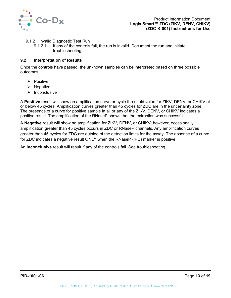

- 9.1.2 Invalid Diagnostic Test Run
	- 9.1.2.1 If any of the controls fail, the run is invalid. Document the run and initiate troubleshooting.

#### <span id="page-13-0"></span>**9.2 Interpretation of Results**

Once the controls have passed, the unknown samples can be interpreted based on three possible outcomes:

- $\triangleright$  Positive
- $\triangleright$  Negative
- $\triangleright$  Inconclusive

A **Positive** result will show an amplification curve or cycle threshold value for ZIKV, DENV, or CHIKV at or below 45 cycles. Amplification curves greater than 45 cycles for ZDC are in the uncertainty zone. The presence of a curve for positive sample in all or any of the ZIKV, DENV, or CHIKV indicates a positive result. The amplification of the RNaseP shows that the extraction was successful.

A **Negative** result will show no amplification for ZIKV, DENV, or CHIKV; however, occasionally amplification greater than 45 cycles occurs in ZDC or RNaseP channels. Any amplification curves greater than 45 cycles for ZDC are outside of the detection limits for the assay. The absence of a curve for ZDC indicates a negative result ONLY when the RNaseP (IPC) marker is positive.

An **Inconclusive** result will result if any of the controls fail. See troubleshooting.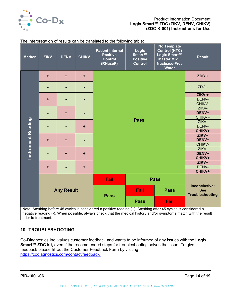

| <b>Marker</b>                                                                                                    | <b>ZIKV</b>       | <b>DENV</b> | <b>CHIKV</b> | <b>Patient Internal</b><br><b>Positive</b><br><b>Control</b><br>(RNaseP) | Logix<br>Smart™<br><b>Positive</b><br><b>Control</b> | <b>No Template</b><br><b>Control (NTC)</b><br>Logix Smart™<br>Master Mix +<br><b>Nuclease-Free</b><br><b>Water</b> | <b>Result</b>                                         |  |  |
|------------------------------------------------------------------------------------------------------------------|-------------------|-------------|--------------|--------------------------------------------------------------------------|------------------------------------------------------|--------------------------------------------------------------------------------------------------------------------|-------------------------------------------------------|--|--|
|                                                                                                                  | ٠                 | $\ddot{}$   | ٠            |                                                                          |                                                      |                                                                                                                    | $ZDC +$                                               |  |  |
|                                                                                                                  |                   |             |              |                                                                          |                                                      |                                                                                                                    |                                                       |  |  |
|                                                                                                                  |                   |             |              |                                                                          |                                                      |                                                                                                                    | $ZIKV +$                                              |  |  |
|                                                                                                                  | ٠                 |             |              |                                                                          |                                                      |                                                                                                                    | DENV-                                                 |  |  |
|                                                                                                                  |                   |             |              |                                                                          |                                                      |                                                                                                                    | CHIKV-                                                |  |  |
|                                                                                                                  |                   |             |              |                                                                          |                                                      |                                                                                                                    | ZIKV-                                                 |  |  |
|                                                                                                                  |                   | ٠           |              |                                                                          |                                                      |                                                                                                                    | DENV+                                                 |  |  |
|                                                                                                                  |                   |             |              |                                                                          |                                                      |                                                                                                                    | CHIKV-                                                |  |  |
|                                                                                                                  |                   |             |              |                                                                          | <b>Pass</b>                                          |                                                                                                                    | ZIKV-                                                 |  |  |
| <b>Instrument Reading</b>                                                                                        |                   |             |              |                                                                          |                                                      |                                                                                                                    | DENV-                                                 |  |  |
|                                                                                                                  |                   |             |              |                                                                          |                                                      |                                                                                                                    | CHIKV+                                                |  |  |
|                                                                                                                  | ٠<br>٠            |             |              |                                                                          |                                                      |                                                                                                                    | ZIKV+                                                 |  |  |
|                                                                                                                  |                   |             |              |                                                                          |                                                      |                                                                                                                    | DENV+                                                 |  |  |
|                                                                                                                  |                   |             |              |                                                                          | CHIKV-                                               |                                                                                                                    |                                                       |  |  |
|                                                                                                                  |                   |             |              |                                                                          | ZIKV-                                                |                                                                                                                    |                                                       |  |  |
|                                                                                                                  |                   | ÷           |              |                                                                          | DENV+                                                |                                                                                                                    |                                                       |  |  |
|                                                                                                                  |                   |             |              |                                                                          |                                                      |                                                                                                                    | CHIKV+                                                |  |  |
|                                                                                                                  |                   |             |              |                                                                          |                                                      |                                                                                                                    | ZIKV+                                                 |  |  |
|                                                                                                                  | ٠                 |             |              |                                                                          |                                                      | DENV-                                                                                                              |                                                       |  |  |
|                                                                                                                  |                   |             |              |                                                                          |                                                      |                                                                                                                    | <b>CHIKV+</b>                                         |  |  |
|                                                                                                                  |                   |             |              |                                                                          |                                                      | Fail<br><b>Pass</b>                                                                                                |                                                       |  |  |
|                                                                                                                  | <b>Any Result</b> |             |              | <b>Pass</b>                                                              | Fail                                                 | <b>Pass</b>                                                                                                        | Inconclusive:<br><b>See</b><br><b>Troubleshooting</b> |  |  |
|                                                                                                                  |                   |             |              |                                                                          | <b>Pass</b>                                          | Fail                                                                                                               |                                                       |  |  |
| Note: Anything before 45 cycles is considered a positive reading (+). Anything after 45 cycles is considered a   |                   |             |              |                                                                          |                                                      |                                                                                                                    |                                                       |  |  |
| negative reading (-). When possible, always check that the medical history and/or symptoms match with the result |                   |             |              |                                                                          |                                                      |                                                                                                                    |                                                       |  |  |
| prior to treatment.                                                                                              |                   |             |              |                                                                          |                                                      |                                                                                                                    |                                                       |  |  |

The interpretation of results can be translated to the following table:

# <span id="page-14-0"></span>**10 TROUBLESHOOTING**

Co-Diagnostics Inc. values customer feedback and wants to be informed of any issues with the **Logix Smart™ ZDC kit,** even if the recommended steps for troubleshooting solves the issue. To give feedback please fill out the Customer Feedback Form by visiting <https://codiagnostics.com/contact/feedback/>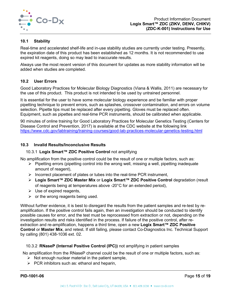

## <span id="page-15-0"></span>**10.1 Stability**

Real-time and accelerated shelf-life and in-use stability studies are currently under testing. Presently, the expiration date of this product has been established as 12 months. It is not recommended to use expired kit reagents, doing so may lead to inaccurate results.

Always use the most recent version of this document for updates as more stability information will be added when studies are completed.

#### <span id="page-15-1"></span>**10.2 User Errors**

Good Laboratory Practices for Molecular Biology Diagnostics (Viana & Wallis, 2011) are necessary for the use of this product. This product is not intended to be used by untrained personnel.

It is essential for the user to have some molecular biology experience and be familiar with proper pipetting technique to prevent errors, such as splashes, crossover contamination, and errors on volume selection. Pipette tips must be replaced after every pipetting. Gloves must be replaced often. Equipment, such as pipettes and real-time PCR instruments, should be calibrated when applicable.

90 minutes of online training for Good Laboratory Practices for Molecular Genetics Testing (Centers for Disease Control and Prevention, 2017) is available at the CDC website at the following link <https://www.cdc.gov/labtraining/training-courses/good-lab-practices-molecular-genetics-testing.html>

#### <span id="page-15-2"></span>**10.3 Invalid Results/Inconclusive Results**

#### 10.3.1 **Logix Smart™ ZDC Positive Control** not amplifying

No amplification from the positive control could be the result of one or multiple factors, such as:

- $\triangleright$  Pipetting errors (pipetting control into the wrong well, missing a well, pipetting inadequate amount of reagent),
- $\triangleright$  Incorrect placement of plates or tubes into the real-time PCR instrument,
- **Logix Smart™ ZDC Master Mix** or **Logix Smart™ ZDC Positive Control** degradation (result of reagents being at temperatures above -20°C for an extended period),
- $\triangleright$  Use of expired reagents,
- $\triangleright$  or the wrong reagents being used.

Without further evidence, it is best to disregard the results from the patient samples and re-test by reamplification. If the positive control fails again, then an investigation should be conducted to identify possible causes for error, and the test must be reprocessed from extraction or not, depending on the investigation results and risks identified in the process. If failure of the positive control, after reextraction and re-amplification, happens a third time, open a new **Logix Smart™ ZDC Positive Control** or **Master Mix**, and retest. If still failing, please contact Co-Diagnostics Inc. Technical Support by calling (801) 438-1036 ext. 02.

## 10.3.2 **RNaseP (Internal Positive Control (IPC))** not amplifying in patient samples

No amplification from the RNaseP channel could be the result of one or multiple factors, such as:

- $\triangleright$  Not enough nuclear material in the patient sample,
- $\triangleright$  PCR inhibitors such as: ethanol and heparin,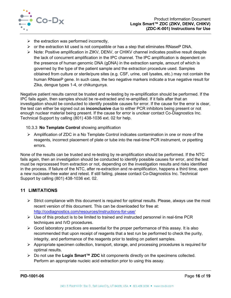

- $\triangleright$  the extraction was performed incorrectly,
- $\triangleright$  or the extraction kit used is not compatible or has a step that eliminates RNaseP DNA.
- $\triangleright$  Note: Positive amplification in ZIKV, DENV, or CHIKV channel indicates positive result despite the lack of concurrent amplification in the IPC channel. The IPC amplification is dependent on the presence of human genomic DNA (gDNA) in the extraction sample, amount of which is governed by the type of the patient sample and the extraction procedure used. Samples obtained from culture or sterile/pure sites (e.g. CSF, urine, cell lysates, etc.) may not contain the human RNaseP gene. In such case, the two negative markers indicate a true negative result for Zika, dengue types 1-4, or chikungunya.

Negative patient results cannot be trusted and re-testing by re-amplification should be performed. If the IPC fails again, then samples should be re-extracted and re-amplified. If it fails after that an investigation should be conducted to identify possible causes for error. If the cause for the error is clear, the test can either be signed out as **inconclusive** due to either PCR inhibitors being present or not enough nuclear material being present. If the cause for error is unclear contact Co-Diagnostics Inc. Technical Support by calling (801) 438-1036 ext. 02 for help.

## 10.3.3 **No Template Control** showing amplification

 $\triangleright$  Amplification of ZDC in a No Template Control indicates contamination in one or more of the reagents, incorrect placement of plate or tube into the real-time PCR instrument, or pipetting errors.

None of the results can be trusted and re-testing by re-amplification should be performed. If the NTC fails again, then an investigation should be conducted to identify possible causes for error, and the test must be reprocessed from extraction or not, depending on the investigation results and risks identified in the process. If failure of the NTC, after re-extraction and re-amplification, happens a third time, open a new nuclease-free water and retest. If still failing, please contact Co-Diagnostics Inc. Technical Support by calling (801) 438-1036 ext. 02.

# <span id="page-16-0"></span>**11 LIMITATIONS**

- $\triangleright$  Strict compliance with this document is required for optimal results. Please, always use the most recent version of this document. This can be downloaded for free at: <http://codiagnostics.com/resources/instructions-for-use/>
- $\triangleright$  Use of this product is to be limited to trained and instructed personnel in real-time PCR techniques and IVD procedures.
- $\triangleright$  Good laboratory practices are essential for the proper performance of this assay. It is also recommended that upon receipt of reagents that a test run be performed to check the purity, integrity, and performance of the reagents prior to testing on patient samples.
- $\triangleright$  Appropriate specimen collection, transport, storage, and processing procedures is required for optimal results.
- Do not use the **Logix Smart™ ZDC** kit components directly on the specimens collected. Perform an appropriate nucleic acid extraction prior to using this assay.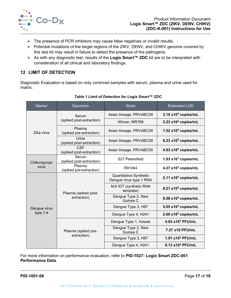

- $\triangleright$  The presence of PCR inhibitors may cause false negatives or invalid results.
- ▶ Potential mutations of the target regions of the ZIKV, DENV, and CHIKV genome covered by this test kit may result in failure to detect the presence of the pathogens.
- As with any diagnostic test, results of the **Logix Smart™ ZDC** kit are to be interpreted with consideration of all clinical and laboratory findings.

# <span id="page-17-0"></span>**12 LIMIT OF DETECTION**

Diagnostic Evaluation is based on only contrived samples with serum, plasma and urine used for matrix.

| <b>Marker</b> | Specimen                               | <b>Strain</b>                                     | <b>Estimated LOD</b>              |
|---------------|----------------------------------------|---------------------------------------------------|-----------------------------------|
|               | Serum                                  | Asian lineage, PRVABC59                           | $3.19 \times 10^4$ copies/mL      |
|               | (spiked post-extraction)               | African, MR766                                    | $3.23$ x10 <sup>4</sup> copies/mL |
| Zika virus    | Plasma<br>(spiked pre-extraction)      | Asian lineage, PRVABC59                           | 1.52 $x104$ copies/mL             |
|               | Urine<br>(spiked post-extraction)      | Asian lineage, PRVABC59                           | 6.23 $x104$ copies/mL             |
|               | <b>CSF</b><br>(spiked post-extraction) | Asian lineage, PRVABC59                           | 4.83 x10 <sup>4</sup> copies/mL   |
| Chikungunya   | Serum<br>(spiked post-extraction)      | S <sub>27</sub> Petersfield                       | 1.03 $x103$ copies/mL             |
| virus         | Plasma<br>(spiked pre-extraction)      | R91064                                            | 4.27 x10 <sup>3</sup> copies/mL   |
|               |                                        | Quantitative Synthetic<br>Dengue virus type 1 RNA | 2.11 x10 <sup>5</sup> copies/mL   |
|               | Plasma (spiked post-                   | N/A IDT (synthetic RNA<br>template)               | 8.21 x10 <sup>4</sup> copies/mL   |
|               | extraction)                            | Dengue Type 2, New<br>Guinea C                    | 9.08 x10 <sup>4</sup> copies/mL   |
| Dengue virus  |                                        | Dengue Type 3, H87                                | 5.05 $x104$ copies/mL             |
| type $1-4$    |                                        | Dengue Type 4, H241                               | $2.69$ x10 <sup>5</sup> copies/mL |
|               |                                        | Dengue Type 1, Hawaii                             | 4.03 x10 <sup>2</sup> PFU/mL      |
|               | Plasma (spiked pre-                    | Dengue Type 2, New<br>Guinea C                    | 7.27 x10 PFU/mL                   |
|               | extraction)                            | Dengue Type 3, H87                                | 1.91 x10 <sup>2</sup> PFU/mL      |
|               |                                        | Dengue Type 4, H241                               | 6.13 x10 <sup>2</sup> PFU/mL      |

## *Table 1 Limit of Detection for Logix Smart™ ZDC*

For more information on performance evaluation, refer to **PID-1027: Logix Smart ZDC-001 Performance Data**.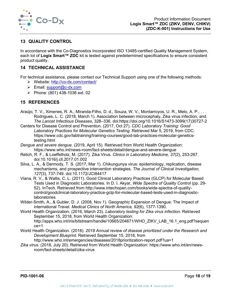

# <span id="page-18-0"></span>**13 QUALITY CONTROL**

In accordance with the Co-Diagnostics Incorporated ISO 13485-certified Quality Management System, each lot of **Logix Smart™ ZDC** kit is tested against predetermined specifications to ensure consistent product quality.

# <span id="page-18-1"></span>**14 TECHNICAL ASSISTANCE**

For technical assistance, please contact our Technical Support using one of the following methods:

- Website:<http://co-dx.com/contact/>
- $\triangleright$  Email: [support@c-dx.com](mailto:support@c-dx.com)
- Phone:  $(801)$  438-1036 ext. 02

# <span id="page-18-2"></span>**15 REFERENCES**

- Araújo, T. V., Ximenes, R. A., Miranda-Filho, D. d., Souza, W. V., Montarroyos, U. R., Melo, A. P., . . . Rodrigues, L. C. (2018, March 1). Association between microcephaly, Zika virus infection, and. *The Lancet Infectious Diseases*, 328–336. doi:https://doi.org/10.1016/S1473-3099(17)30727-2
- Centers for Disease Control and Prevention. (2017, Oct 27). *CDC Laboratory Training: Good Laboratory Practices for Molecular Genetics Testing*. Retrieved Mar 5, 2019, from CDC: https://www.cdc.gov/labtraining/training-courses/good-lab-practices-molecular-geneticstesting.html
- *Dengue and severe dengue.* (2019, April 15). Retrieved from World Health Organization: https://www.who.int/news-room/fact-sheets/detail/dengue-and-severe-dengue
- Relich, R. F., & Loeffelholz, M. (2017). Zika Virus. *Clinics in Laboratory Medicine, 37*(2), 253-267. doi:10.1016/j.cll.2017.01.002
- Silva, L. A., & Dermody, T. S. (2017, Mar 1). Chikungunya virus: epidemiology, replication, disease mechanisms, and prospective intervention strategies. *The Journal of Clinical Investigation, 127*(3), 737-749. doi:10.1172/JCI84417
- Viana, R. V., & Wallis, C. L. (2011). Good Clinical Laboratory Practices (GLCP) for Molecular Based Tests Used in Diagnostic Laboratories. In D. I. Akyar, *Wide Spectra of Quality Control* (pp. 29- 52). InTech. Retrieved from http://www.intechopen.com/books/wide-spectra-of-qualitycontrol/goodclinical-laboratory-practice-gclp-for-molecular-based-tests-used-in-diagnosticlaboratories
- Wilder-Smith, A., & Gubler, D. J. (2008, Nov 1). Geographic Expansion of Dengue: The Impact of international Travel. *Medical Clinics of North America, 92*(6), 1377-1390.
- World Health Organization. (2016, March 23). *Laboratory testing for Zika virus infection.* Retrieved September 15, 2018, from World Health Organization: http://apps.who.int/iris/bitstream/handle/10665/204671/WHO\_ZIKV\_LAB\_16.1\_eng.pdf?sequen ce=1
- World Health Organization. (2018). *2018 Annual review of disease prioritized under the Research and Development Blueprint.* Retrieved September 15, 2018, from
	- http://www.who.int/emergencies/diseases/2018prioritization-report.pdf?ua=1
- *Zika virus.* (2018, July 20). Retrieved from World Health Organization: https://www.who.int/en/newsroom/fact-sheets/detail/zika-virus